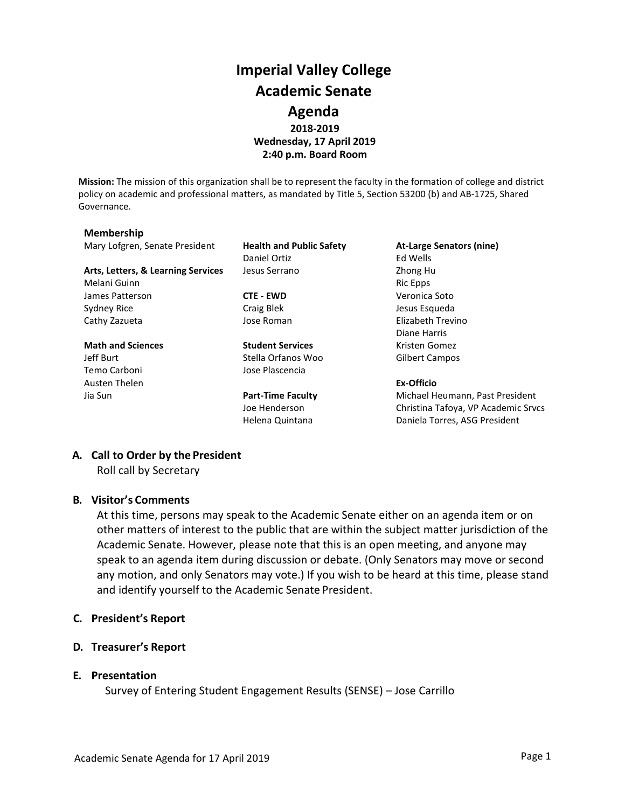# **Imperial Valley College Academic Senate Agenda 2018-2019 Wednesday, 17 April 2019 2:40 p.m. Board Room**

**Mission:** The mission of this organization shall be to represent the faculty in the formation of college and district policy on academic and professional matters, as mandated by Title 5, Section 53200 (b) and AB-1725, Shared Governance.

#### **Membership**

Mary Lofgren, Senate President **Health and Public Safety At-Large Senators (nine)**

Arts, Letters, & Learning Services Jesus Serrano **Zhong Human** Zhong Human Zhong Human Zhong Human Zhong Human Zhong Human Zhong Human Zhong Human Zhong Human Zhong Human Zhong Human Zhong Human Zhong Human Zhong Human Zho Melani Guinn **Ric Epps** and Ric Epps **Ric Epps Ric Epps** James Patterson **CTE - EWD** Veronica Soto Sydney Rice **Craig Blek** Craig Blek Jesus Esqueda Cathy Zazueta Jose Roman Elizabeth Trevino

Temo Carboni Jose Plascencia Austen Thelen **Ex-Officio**

Daniel Ortiz **Ed Wells** 

**Math and Sciences Student Services Student Services** Kristen Gomez Jeff Burt Stella Orfanos Woo Gilbert Campos

Diane Harris

Jia Sun **Part-Time Faculty** Michael Heumann, Past President Joe Henderson Christina Tafoya, VP Academic Srvcs Helena Quintana **Daniela Torres, ASG President** 

### **A. Call to Order by the President**

Roll call by Secretary

### **B. Visitor's Comments**

At this time, persons may speak to the Academic Senate either on an agenda item or on other matters of interest to the public that are within the subject matter jurisdiction of the Academic Senate. However, please note that this is an open meeting, and anyone may speak to an agenda item during discussion or debate. (Only Senators may move or second any motion, and only Senators may vote.) If you wish to be heard at this time, please stand and identify yourself to the Academic Senate President.

- **C. President's Report**
- **D. Treasurer's Report**

### **E. Presentation**

Survey of Entering Student Engagement Results (SENSE) – Jose Carrillo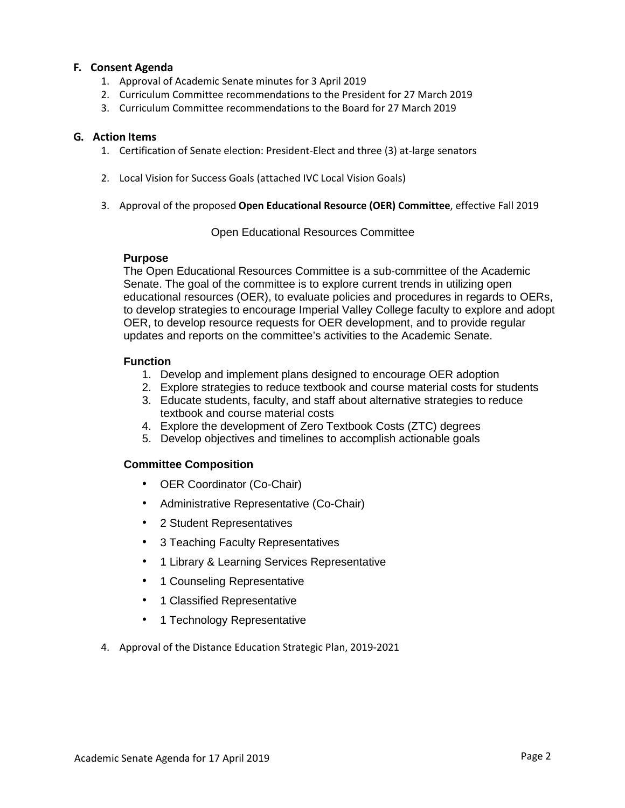### **F. Consent Agenda**

- 1. Approval of Academic Senate minutes for 3 April 2019
- 2. Curriculum Committee recommendations to the President for 27 March 2019
- 3. Curriculum Committee recommendations to the Board for 27 March 2019

### **G. Action Items**

- 1. Certification of Senate election: President-Elect and three (3) at-large senators
- 2. Local Vision for Success Goals (attached IVC Local Vision Goals)
- 3. Approval of the proposed **Open Educational Resource (OER) Committee**, effective Fall 2019

### Open Educational Resources Committee

### **Purpose**

The Open Educational Resources Committee is a sub-committee of the Academic Senate. The goal of the committee is to explore current trends in utilizing open educational resources (OER), to evaluate policies and procedures in regards to OERs, to develop strategies to encourage Imperial Valley College faculty to explore and adopt OER, to develop resource requests for OER development, and to provide regular updates and reports on the committee's activities to the Academic Senate.

### **Function**

- 1. Develop and implement plans designed to encourage OER adoption
- 2. Explore strategies to reduce textbook and course material costs for students
- 3. Educate students, faculty, and staff about alternative strategies to reduce textbook and course material costs
- 4. Explore the development of Zero Textbook Costs (ZTC) degrees
- 5. Develop objectives and timelines to accomplish actionable goals

## **Committee Composition**

- OER Coordinator (Co-Chair)
- Administrative Representative (Co-Chair)
- 2 Student Representatives
- 3 Teaching Faculty Representatives
- 1 Library & Learning Services Representative
- 1 Counseling Representative
- 1 Classified Representative
- 1 Technology Representative
- 4. Approval of the Distance Education Strategic Plan, 2019-2021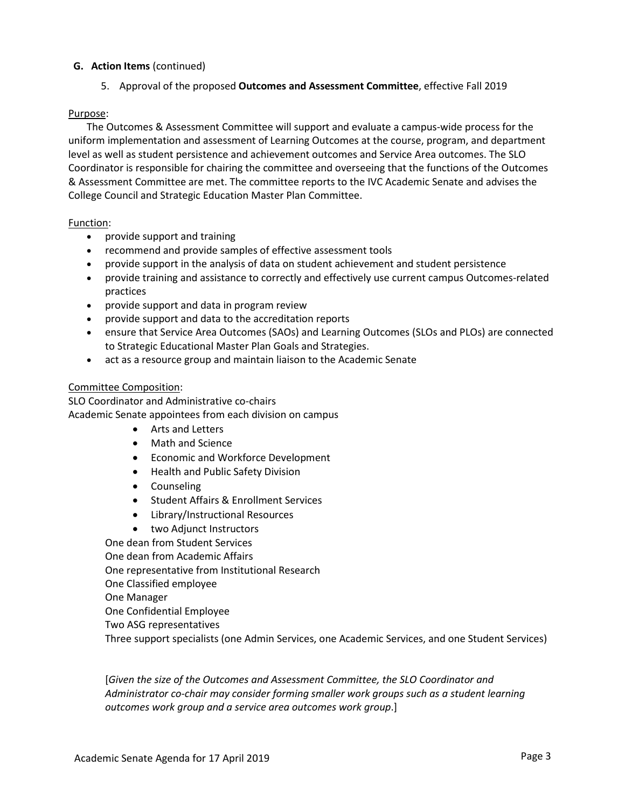### **G. Action Items** (continued)

5. Approval of the proposed **Outcomes and Assessment Committee**, effective Fall 2019

### Purpose:

The Outcomes & Assessment Committee will support and evaluate a campus-wide process for the uniform implementation and assessment of Learning Outcomes at the course, program, and department level as well as student persistence and achievement outcomes and Service Area outcomes. The SLO Coordinator is responsible for chairing the committee and overseeing that the functions of the Outcomes & Assessment Committee are met. The committee reports to the IVC Academic Senate and advises the College Council and Strategic Education Master Plan Committee.

### Function:

- provide support and training
- recommend and provide samples of effective assessment tools
- provide support in the analysis of data on student achievement and student persistence
- provide training and assistance to correctly and effectively use current campus Outcomes-related practices
- provide support and data in program review
- provide support and data to the accreditation reports
- ensure that Service Area Outcomes (SAOs) and Learning Outcomes (SLOs and PLOs) are connected to Strategic Educational Master Plan Goals and Strategies.
- act as a resource group and maintain liaison to the Academic Senate

### Committee Composition:

SLO Coordinator and Administrative co-chairs Academic Senate appointees from each division on campus

- Arts and Letters
- Math and Science
- Economic and Workforce Development
- Health and Public Safety Division
- Counseling
- Student Affairs & Enrollment Services
- Library/Instructional Resources
- two Adjunct Instructors

One dean from Student Services One dean from Academic Affairs One representative from Institutional Research One Classified employee One Manager One Confidential Employee Two ASG representatives Three support specialists (one Admin Services, one Academic Services, and one Student Services)

[*Given the size of the Outcomes and Assessment Committee, the SLO Coordinator and Administrator co-chair may consider forming smaller work groups such as a student learning outcomes work group and a service area outcomes work group*.]